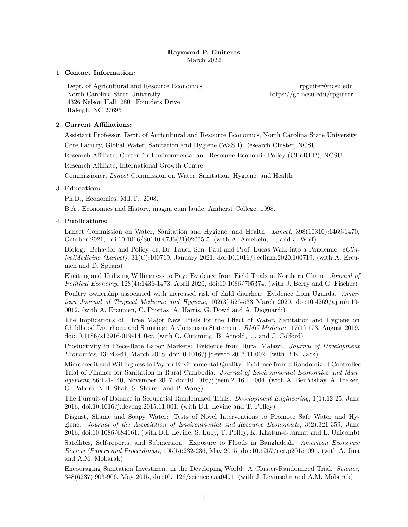# **Raymond P. Guiteras** March 2022

### 1. **Contact Information:**

Dept. of Agricultural and Resource Economics [rpguiter@ncsu.edu](mailto:rpguiter@ncsu.edu) North Carolina State University<https://go.ncsu.edu/rpguiter> 4326 Nelson Hall; 2801 Founders Drive Raleigh, NC 27695

# 2. **Current Affiliations:**

Assistant Professor, Dept. of Agricultural and Resource Economics, North Carolina State University Core Faculty, Global Water, Sanitation and Hygiene (WaSH) Research Cluster, NCSU

Research Affiliate, Center for Environmental and Resource Economic Policy (CEnREP), NCSU

Research Affiliate, International Growth Centre

Commissioner, *Lancet* Commission on Water, Sanitation, Hygiene, and Health

# 3. **Education:**

Ph.D., Economics, M.I.T., 2008.

B.A., Economics and History, magna cum laude, Amherst College, 1998.

# 4. **Publications:**

[Lancet Commission on Water, Sanitation and Hygiene, and Health.](https://doi.org/10.1016/S0140-6736(21)02005-5) *Lancet*, 398(10310):1469-1470, October 2021, [doi:10.1016/S0140-6736\(21\)02005-5.](https://doi.org/10.1016/S0140-6736(21)02005-5) (with A. Amebelu, ..., and J. Wolf)

[Biology, Behavior and Policy, or, Dr. Fauci, Sen. Paul and Prof. Lucas Walk into a Pandemic.](https://www.sciencedirect.com/science/article/pii/S2589537020304636) *eClinicalMedicine (Lancet)*, 31(C):100719, January 2021, [doi:10.1016/j.eclinm.2020.100719.](https://doi.org/10.1016/j.eclinm.2020.100719) (with A. Ercumen and D. Spears)

[Eliciting and Utilizing Willingness to Pay: Evidence from Field Trials in Northern Ghana.](https://sites.google.com/view/rpguiter/publications/eliciting-and-utilizing-willingness-to-pay) *Journal of Political Economy*, 128(4):1436-1473, April 2020, [doi:10.1086/705374.](http://dx.doi.org/10.1086/705374) (with J. Berry and G. Fischer)

[Poultry ownership associated with increased risk of child diarrhea: Evidence from Uganda.](https://doi.org/10.4269/ajtmh.19-0012) *American Journal of Tropical Medicine and Hygiene*, 102(3):526-533 March 2020, [doi:10.4269/ajtmh.19-](http://dx.doi.org/10.4269/ajtmh.19-0012) [0012.](http://dx.doi.org/10.4269/ajtmh.19-0012) (with A. Ercumen, C. Prottas, A. Harris, G. Dowd and A. Dioguardi)

[The Implications of Three Major New Trials for the Effect of Water, Sanitation and Hygiene on](https://doi.org/10.1186/s12916-019-1410-x) [Childhood Diarrhoea and Stunting: A Consensus Statement.](https://doi.org/10.1186/s12916-019-1410-x) *BMC Medicine*, 17(1):173, August 2019, [doi:10.1186/s12916-019-1410-x.](http://dx.doi.org/10.1186/s12916-019-1410-x) (with O. Cumming, B. Arnold, ..., and J. Colford)

[Productivity in Piece-Rate Labor Markets: Evidence from Rural Malawi.](http://go.ncsu.edu/rpguiter.malawi-labor) *Journal of Development Economics*, 131:42-61, March 2018, [doi:10.1016/j.jdeveco.2017.11.002.](http://dx.doi.org/10.1016/j.jdeveco.2017.11.002) (with B.K. Jack)

[Microcredit and Willingness to Pay for Environmental Quality: Evidence from a Randomized-Controlled](http://go.ncsu.edu/rpguiter-cambodia-sanit) [Trial of Finance for Sanitation in Rural Cambodia.](http://go.ncsu.edu/rpguiter-cambodia-sanit) *Journal of Environmental Economics and Management*, 86:121-140, November 2017, [doi:10.1016/j.jeem.2016.11.004.](http://dx.doi.org/10.1016/j.jeem.2016.11.004) (with A. BenYishay, A. Fraker, G. Palloni, N.B. Shah, S. Shirrell and P. Wang)

[The Pursuit of Balance in Sequential Randomized Trials.](http://go.ncsu.edu/rpguiter.sequential) *Development Engineering*, 1(1):12-25, June 2016, [doi:10.1016/j.deveng.2015.11.001.](http://dx.doi.org/10.1016/j.deveng.2015.11.001) (with D.I. Levine and T. Polley)

[Disgust, Shame and Soapy Water: Tests of Novel Interventions to Promote Safe Water and Hy](http://go.ncsu.edu/rpguiter.disgust-shame)[giene.](http://go.ncsu.edu/rpguiter.disgust-shame) *Journal of the Association of Environmental and Resource Economists*, 3(2):321-359, June 2016, [doi:10.1086/684161.](http://dx.doi.org/10.1086/684161) (with D.I. Levine, S. Luby, T. Polley, K. Khatun-e-Jannat and L. Unicomb)

[Satellites, Self-reports, and Submersion: Exposure to Floods in Bangladesh.](http://dx.doi.org/10.1257/aer.p20151095) *American Economic Review (Papers and Proceedings)*, 105(5):232-236, May 2015, [doi:10.1257/aer.p20151095.](http://dx.doi.org/10.1257/aer.p20151095) (with A. Jina and A.M. Mobarak)

[Encouraging Sanitation Investment in the Developing World: A Cluster-Randomized Trial.](http://go.ncsu.edu/rpguiter.bgd.san.sci) *Science*, 348(6237):903-906, May 2015, [doi:10.1126/science.aaa0491.](http://dx.doi.org/10.1126/science.aaa0491) (with J. Levinsohn and A.M. Mobarak)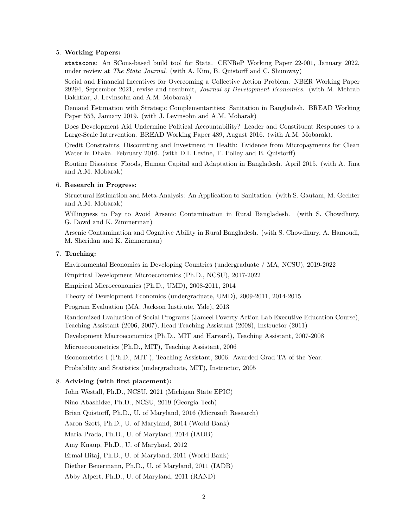### 5. **Working Papers:**

statacons[: An SCons-based build tool for Stata. CENReP Working Paper 22-001,](https://go.ncsu.edu/cenrep-wp-22-001) January 2022, under review at *The Stata Journal*. (with A. Kim, B. Quistorff and C. Shumway)

[Social and Financial Incentives for Overcoming a Collective Action Problem. NBER Working Paper](http://www.nber.org/papers/w29294) [29294,](http://www.nber.org/papers/w29294) September 2021, revise and resubmit, *Journal of Development Economics*. (with M. Mehrab Bakhtiar, J. Levinsohn and A.M. Mobarak)

[Demand Estimation with Strategic Complementarities: Sanitation in Bangladesh.](http://go.ncsu.edu/rpguiter.sanitation-structural) [BREAD Working](http://go.ncsu.edu/rpguiter.bgd-san-struc.pdf) [Paper 553,](http://go.ncsu.edu/rpguiter.bgd-san-struc.pdf) January 2019. (with J. Levinsohn and A.M. Mobarak)

[Does Development Aid Undermine Political Accountability? Leader and Constituent Responses to a](http://go.ncsu.edu/rpguiter-sanit-polit-econ) [Large-Scale Intervention.](http://go.ncsu.edu/rpguiter-sanit-polit-econ) [BREAD Working Paper 489,](http://ibread.org/bread/working/489) August 2016. (with A.M. Mobarak).

[Credit Constraints, Discounting and Investment in Health: Evidence from Micropayments for Clean](http://go.ncsu.edu/rpguiter.dhaka-water-wtp) [Water in Dhaka.](http://go.ncsu.edu/rpguiter.dhaka-water-wtp) February 2016. (with D.I. Levine, T. Polley and B. Quistorff)

[Routine Disasters: Floods, Human Capital and Adaptation in Bangladesh.](mailto:rpguiter@ncsu.edu?subject=Current%20draft%20of%20Bangladesh%20floods%20paper&cc=amirjina@uchicago.edu&cc=ahmed.mobarak@yale.edu) April 2015. (with A. Jina and A.M. Mobarak)

#### 6. **Research in Progress:**

Structural Estimation and Meta-Analysis: An Application to Sanitation. (with S. Gautam, M. Gechter and A.M. Mobarak)

Willingness to Pay to Avoid Arsenic Contamination in Rural Bangladesh. (with S. Chowdhury, G. Dowd and K. Zimmerman)

Arsenic Contamination and Cognitive Ability in Rural Bangladesh. (with S. Chowdhury, A. Hamoudi, M. Sheridan and K. Zimmerman)

#### 7. **Teaching:**

[Environmental Economics in Developing Countries \(undergraduate / MA, NCSU\),](https://sites.google.com/view/rpguiter/teaching#h.xi82da591t2o) 2019-2022

[Empirical Development Microeconomics \(Ph.D., NCSU\),](https://sites.google.com/view/rpguiter/teaching#h.al043ezhymu9) 2017-2022

Empirical Microeconomics (Ph.D., UMD), 2008-2011, 2014

Theory of Development Economics (undergraduate, UMD), 2009-2011, 2014-2015

Program Evaluation (MA, Jackson Institute, Yale), 2013

Randomized Evaluation of Social Programs (Jameel Poverty Action Lab Executive Education Course), Teaching Assistant (2006, 2007), Head Teaching Assistant (2008), Instructor (2011)

Development Macroeconomics (Ph.D., MIT and Harvard), Teaching Assistant, 2007-2008

Microeconometrics (Ph.D., MIT), Teaching Assistant, 2006

Econometrics I (Ph.D., MIT ), Teaching Assistant, 2006. Awarded Grad TA of the Year.

Probability and Statistics (undergraduate, MIT), Instructor, 2005

### 8. **Advising (with first placement):**

John Westall, Ph.D., NCSU, 2021 (Michigan State EPIC) Nino Abashidze, Ph.D., NCSU, 2019 (Georgia Tech) Brian Quistorff, Ph.D., U. of Maryland, 2016 (Microsoft Research) Aaron Szott, Ph.D., U. of Maryland, 2014 (World Bank) Maria Prada, Ph.D., U. of Maryland, 2014 (IADB) Amy Knaup, Ph.D., U. of Maryland, 2012 Ermal Hitaj, Ph.D., U. of Maryland, 2011 (World Bank) Diether Beuermann, Ph.D., U. of Maryland, 2011 (IADB) Abby Alpert, Ph.D., U. of Maryland, 2011 (RAND)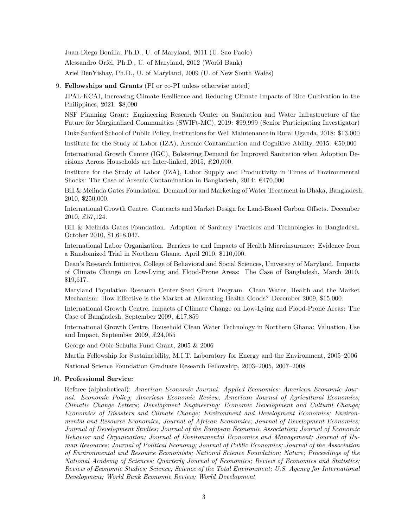Juan-Diego Bonilla, Ph.D., U. of Maryland, 2011 (U. Sao Paolo)

Alessandro Orfei, Ph.D., U. of Maryland, 2012 (World Bank)

Ariel BenYishay, Ph.D., U. of Maryland, 2009 (U. of New South Wales)

### 9. **Fellowships and Grants** (PI or co-PI unless otherwise noted)

JPAL-KCAI, Increasing Climate Resilience and Reducing Climate Impacts of Rice Cultivation in the Philippines, 2021: \$8,090

NSF Planning Grant: Engineering Research Center on Sanitation and Water Infrastructure of the Future for Marginalized Communities (SWIFt-MC), 2019: \$99,999 (Senior Participating Investigator)

Duke Sanford School of Public Policy, Institutions for Well Maintenance in Rural Uganda, 2018: \$13,000

Institute for the Study of Labor (IZA), Arsenic Contamination and Cognitive Ability, 2015:  $\epsilon$ 50,000

International Growth Centre (IGC), Bolstering Demand for Improved Sanitation when Adoption Decisions Across Households are Inter-linked, 2015, £20,000.

Institute for the Study of Labor (IZA), Labor Supply and Productivity in Times of Environmental Shocks: The Case of Arsenic Contamination in Bangladesh, 2014:  $\epsilon$ 470,000

Bill & Melinda Gates Foundation. Demand for and Marketing of Water Treatment in Dhaka, Bangladesh, 2010, \$250,000.

International Growth Centre. Contracts and Market Design for Land-Based Carbon Offsets. December 2010, £57,124.

Bill & Melinda Gates Foundation. Adoption of Sanitary Practices and Technologies in Bangladesh. October 2010, \$1,618,047.

International Labor Organization. Barriers to and Impacts of Health Microinsurance: Evidence from a Randomized Trial in Northern Ghana. April 2010, \$110,000.

Dean's Research Initiative, College of Behavioral and Social Sciences, University of Maryland. Impacts of Climate Change on Low-Lying and Flood-Prone Areas: The Case of Bangladesh, March 2010, \$19,617.

Maryland Population Research Center Seed Grant Program. Clean Water, Health and the Market Mechanism: How Effective is the Market at Allocating Health Goods? December 2009, \$15,000.

International Growth Centre, Impacts of Climate Change on Low-Lying and Flood-Prone Areas: The Case of Bangladesh, September 2009, £17,859

International Growth Centre, Household Clean Water Technology in Northern Ghana: Valuation, Use and Impact, September 2009, £24,055

George and Obie Schultz Fund Grant, 2005 & 2006

Martin Fellowship for Sustainability, M.I.T. Laboratory for Energy and the Environment, 2005–2006

National Science Foundation Graduate Research Fellowship, 2003–2005, 2007–2008

#### 10. **Professional Service:**

Referee (alphabetical): *American Economic Journal: Applied Economics; American Economic Journal: Economic Policy; American Economic Review; American Journal of Agricultural Economics; Climatic Change Letters; Development Engineering; Economic Development and Cultural Change; Economics of Disasters and Climate Change; Environment and Development Economics; Environmental and Resource Economics; Journal of African Economies; Journal of Development Economics; Journal of Development Studies; Journal of the European Economic Association; Journal of Economic Behavior and Organization; Journal of Environmental Economics and Management; Journal of Human Resources; Journal of Political Economy; Journal of Public Economics; Journal of the Association of Environmental and Resource Economists; National Science Foundation; Nature; Proceedings of the National Academy of Sciences; Quarterly Journal of Economics; Review of Economics and Statistics; Review of Economic Studies; Science; Science of the Total Environment; U.S. Agency for International Development; World Bank Economic Review; World Development*